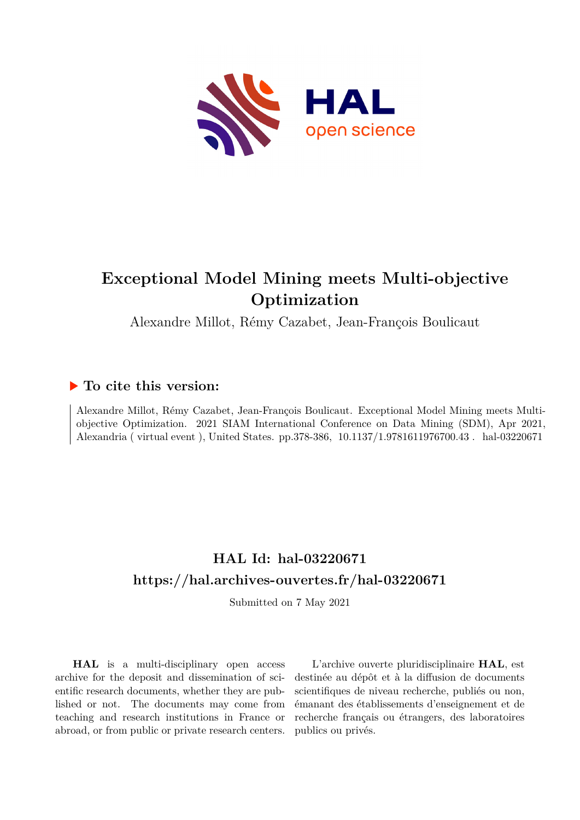

# **Exceptional Model Mining meets Multi-objective Optimization**

Alexandre Millot, Rémy Cazabet, Jean-François Boulicaut

### **To cite this version:**

Alexandre Millot, Rémy Cazabet, Jean-François Boulicaut. Exceptional Model Mining meets Multiobjective Optimization. 2021 SIAM International Conference on Data Mining (SDM), Apr 2021, Alexandria ( virtual event ), United States. pp.378-386, 10.1137/1.9781611976700.43. hal-03220671

## **HAL Id: hal-03220671 <https://hal.archives-ouvertes.fr/hal-03220671>**

Submitted on 7 May 2021

**HAL** is a multi-disciplinary open access archive for the deposit and dissemination of scientific research documents, whether they are published or not. The documents may come from teaching and research institutions in France or abroad, or from public or private research centers.

L'archive ouverte pluridisciplinaire **HAL**, est destinée au dépôt et à la diffusion de documents scientifiques de niveau recherche, publiés ou non, émanant des établissements d'enseignement et de recherche français ou étrangers, des laboratoires publics ou privés.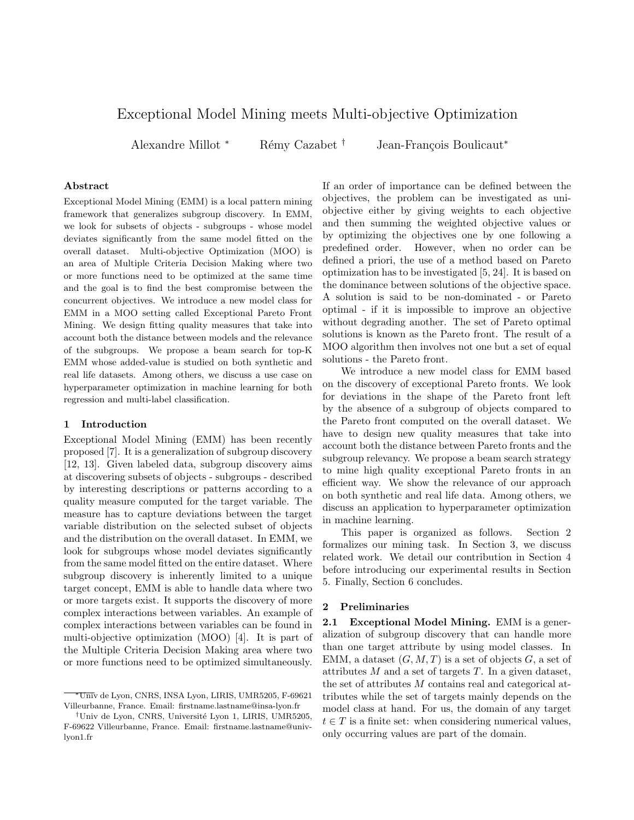### Exceptional Model Mining meets Multi-objective Optimization

Alexandre Millot <sup>\*</sup> Rémy Cazabet <sup>†</sup> Jean-François Boulicaut<sup>\*</sup>

#### Abstract

Exceptional Model Mining (EMM) is a local pattern mining framework that generalizes subgroup discovery. In EMM, we look for subsets of objects - subgroups - whose model deviates significantly from the same model fitted on the overall dataset. Multi-objective Optimization (MOO) is an area of Multiple Criteria Decision Making where two or more functions need to be optimized at the same time and the goal is to find the best compromise between the concurrent objectives. We introduce a new model class for EMM in a MOO setting called Exceptional Pareto Front Mining. We design fitting quality measures that take into account both the distance between models and the relevance of the subgroups. We propose a beam search for top-K EMM whose added-value is studied on both synthetic and real life datasets. Among others, we discuss a use case on hyperparameter optimization in machine learning for both regression and multi-label classification.

#### 1 Introduction

Exceptional Model Mining (EMM) has been recently proposed [7]. It is a generalization of subgroup discovery [12, 13]. Given labeled data, subgroup discovery aims at discovering subsets of objects - subgroups - described by interesting descriptions or patterns according to a quality measure computed for the target variable. The measure has to capture deviations between the target variable distribution on the selected subset of objects and the distribution on the overall dataset. In EMM, we look for subgroups whose model deviates significantly from the same model fitted on the entire dataset. Where subgroup discovery is inherently limited to a unique target concept, EMM is able to handle data where two or more targets exist. It supports the discovery of more complex interactions between variables. An example of complex interactions between variables can be found in multi-objective optimization (MOO) [4]. It is part of the Multiple Criteria Decision Making area where two or more functions need to be optimized simultaneously.

If an order of importance can be defined between the objectives, the problem can be investigated as uniobjective either by giving weights to each objective and then summing the weighted objective values or by optimizing the objectives one by one following a predefined order. However, when no order can be defined a priori, the use of a method based on Pareto optimization has to be investigated [5, 24]. It is based on the dominance between solutions of the objective space. A solution is said to be non-dominated - or Pareto optimal - if it is impossible to improve an objective without degrading another. The set of Pareto optimal solutions is known as the Pareto front. The result of a MOO algorithm then involves not one but a set of equal solutions - the Pareto front.

We introduce a new model class for EMM based on the discovery of exceptional Pareto fronts. We look for deviations in the shape of the Pareto front left by the absence of a subgroup of objects compared to the Pareto front computed on the overall dataset. We have to design new quality measures that take into account both the distance between Pareto fronts and the subgroup relevancy. We propose a beam search strategy to mine high quality exceptional Pareto fronts in an efficient way. We show the relevance of our approach on both synthetic and real life data. Among others, we discuss an application to hyperparameter optimization in machine learning.

This paper is organized as follows. Section 2 formalizes our mining task. In Section 3, we discuss related work. We detail our contribution in Section 4 before introducing our experimental results in Section 5. Finally, Section 6 concludes.

#### 2 Preliminaries

2.1 Exceptional Model Mining. EMM is a generalization of subgroup discovery that can handle more than one target attribute by using model classes. In EMM, a dataset  $(G, M, T)$  is a set of objects G, a set of attributes  $M$  and a set of targets  $T$ . In a given dataset, the set of attributes M contains real and categorical attributes while the set of targets mainly depends on the model class at hand. For us, the domain of any target  $t \in T$  is a finite set: when considering numerical values, only occurring values are part of the domain.

<sup>∗</sup>Univ de Lyon, CNRS, INSA Lyon, LIRIS, UMR5205, F-69621 Villeurbanne, France. Email: firstname.lastname@insa-lyon.fr

<sup>&</sup>lt;sup>†</sup>Univ de Lyon, CNRS, Université Lyon 1, LIRIS, UMR5205, F-69622 Villeurbanne, France. Email: firstname.lastname@univlyon1.fr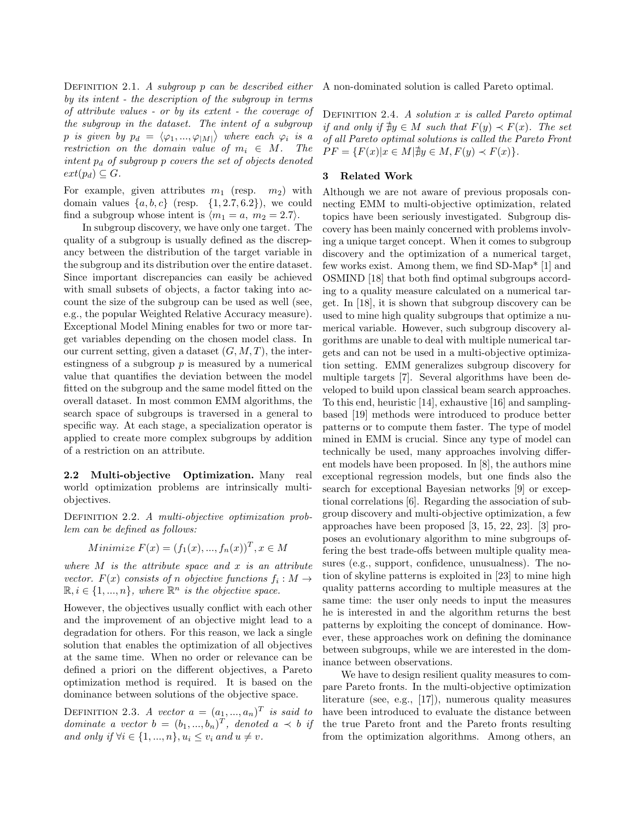DEFINITION 2.1. A subgroup p can be described either by its intent - the description of the subgroup in terms of attribute values - or by its extent - the coverage of the subgroup in the dataset. The intent of a subgroup p is given by  $p_d = \langle \varphi_1, ..., \varphi_{|M|} \rangle$  where each  $\varphi_i$  is a restriction on the domain value of  $m_i \in M$ . The intent  $p_d$  of subgroup p covers the set of objects denoted  $ext(p_d) \subseteq G$ .

For example, given attributes  $m_1$  (resp.  $m_2$ ) with domain values  $\{a, b, c\}$  (resp.  $\{1, 2.7, 6.2\}$ ), we could find a subgroup whose intent is  $\langle m_1 = a, m_2 = 2.7 \rangle$ .

In subgroup discovery, we have only one target. The quality of a subgroup is usually defined as the discrepancy between the distribution of the target variable in the subgroup and its distribution over the entire dataset. Since important discrepancies can easily be achieved with small subsets of objects, a factor taking into account the size of the subgroup can be used as well (see, e.g., the popular Weighted Relative Accuracy measure). Exceptional Model Mining enables for two or more target variables depending on the chosen model class. In our current setting, given a dataset  $(G, M, T)$ , the interestingness of a subgroup  $p$  is measured by a numerical value that quantifies the deviation between the model fitted on the subgroup and the same model fitted on the overall dataset. In most common EMM algorithms, the search space of subgroups is traversed in a general to specific way. At each stage, a specialization operator is applied to create more complex subgroups by addition of a restriction on an attribute.

2.2 Multi-objective Optimization. Many real world optimization problems are intrinsically multiobjectives.

DEFINITION 2.2. A multi-objective optimization problem can be defined as follows:

Minimize 
$$
F(x) = (f_1(x), ..., f_n(x))^T, x \in M
$$

where  $M$  is the attribute space and  $x$  is an attribute vector.  $F(x)$  consists of n objective functions  $f_i : M \to$  $\mathbb{R}, i \in \{1, ..., n\}$ , where  $\mathbb{R}^n$  is the objective space.

However, the objectives usually conflict with each other and the improvement of an objective might lead to a degradation for others. For this reason, we lack a single solution that enables the optimization of all objectives at the same time. When no order or relevance can be defined a priori on the different objectives, a Pareto optimization method is required. It is based on the dominance between solutions of the objective space.

DEFINITION 2.3. A vector  $a = (a_1, ..., a_n)^T$  is said to dominate a vector  $b = (b_1, ..., b_n)^T$ , denoted  $a \prec b$  if and only if  $\forall i \in \{1, ..., n\}, u_i \leq v_i$  and  $u \neq v$ .

A non-dominated solution is called Pareto optimal.

DEFINITION 2.4. A solution  $x$  is called Pareto optimal if and only if  $\exists y \in M$  such that  $F(y) \prec F(x)$ . The set of all Pareto optimal solutions is called the Pareto Front  $PF = \{F(x)|x \in M | \nexists y \in M, F(y) \prec F(x)\}.$ 

#### 3 Related Work

Although we are not aware of previous proposals connecting EMM to multi-objective optimization, related topics have been seriously investigated. Subgroup discovery has been mainly concerned with problems involving a unique target concept. When it comes to subgroup discovery and the optimization of a numerical target, few works exist. Among them, we find SD-Map\* [1] and OSMIND [18] that both find optimal subgroups according to a quality measure calculated on a numerical target. In [18], it is shown that subgroup discovery can be used to mine high quality subgroups that optimize a numerical variable. However, such subgroup discovery algorithms are unable to deal with multiple numerical targets and can not be used in a multi-objective optimization setting. EMM generalizes subgroup discovery for multiple targets [7]. Several algorithms have been developed to build upon classical beam search approaches. To this end, heuristic [14], exhaustive [16] and samplingbased [19] methods were introduced to produce better patterns or to compute them faster. The type of model mined in EMM is crucial. Since any type of model can technically be used, many approaches involving different models have been proposed. In [8], the authors mine exceptional regression models, but one finds also the search for exceptional Bayesian networks [9] or exceptional correlations [6]. Regarding the association of subgroup discovery and multi-objective optimization, a few approaches have been proposed [3, 15, 22, 23]. [3] proposes an evolutionary algorithm to mine subgroups offering the best trade-offs between multiple quality measures (e.g., support, confidence, unusualness). The notion of skyline patterns is exploited in [23] to mine high quality patterns according to multiple measures at the same time: the user only needs to input the measures he is interested in and the algorithm returns the best patterns by exploiting the concept of dominance. However, these approaches work on defining the dominance between subgroups, while we are interested in the dominance between observations.

We have to design resilient quality measures to compare Pareto fronts. In the multi-objective optimization literature (see, e.g., [17]), numerous quality measures have been introduced to evaluate the distance between the true Pareto front and the Pareto fronts resulting from the optimization algorithms. Among others, an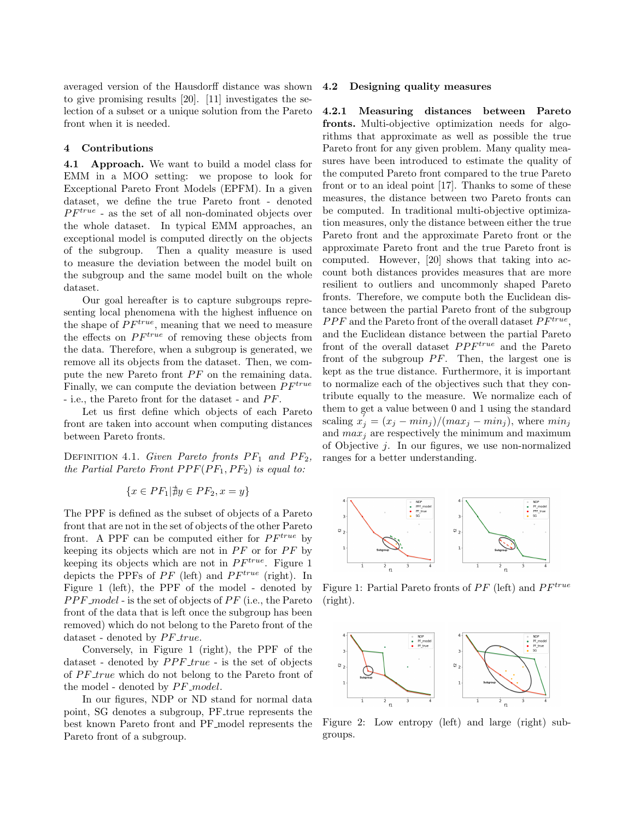averaged version of the Hausdorff distance was shown to give promising results [20]. [11] investigates the selection of a subset or a unique solution from the Pareto front when it is needed.

#### 4 Contributions

4.1 Approach. We want to build a model class for EMM in a MOO setting: we propose to look for Exceptional Pareto Front Models (EPFM). In a given dataset, we define the true Pareto front - denoted  $PF^{true}$  - as the set of all non-dominated objects over the whole dataset. In typical EMM approaches, an exceptional model is computed directly on the objects of the subgroup. Then a quality measure is used to measure the deviation between the model built on the subgroup and the same model built on the whole dataset.

Our goal hereafter is to capture subgroups representing local phenomena with the highest influence on the shape of  $PF^{true}$ , meaning that we need to measure the effects on  $PF^{true}$  of removing these objects from the data. Therefore, when a subgroup is generated, we remove all its objects from the dataset. Then, we compute the new Pareto front  $PF$  on the remaining data. Finally, we can compute the deviation between  $PF^{true}$ - i.e., the Pareto front for the dataset - and  $PF$ .

Let us first define which objects of each Pareto front are taken into account when computing distances between Pareto fronts.

DEFINITION 4.1. Given Pareto fronts  $PF_1$  and  $PF_2$ , the Partial Pareto Front  $PPF(PF_1, PF_2)$  is equal to:

$$
\{x \in PF_1 | \nexists y \in PF_2, x = y\}
$$

The PPF is defined as the subset of objects of a Pareto front that are not in the set of objects of the other Pareto front. A PPF can be computed either for  $PF^{true}$  by keeping its objects which are not in  $PF$  or for  $PF$  by keeping its objects which are not in  $PF^{true}$ . Figure 1 depicts the PPFs of  $PF$  (left) and  $PF^{true}$  (right). In Figure 1 (left), the PPF of the model - denoted by  $PPF_{\text{model}}$  - is the set of objects of  $PF$  (i.e., the Pareto front of the data that is left once the subgroup has been removed) which do not belong to the Pareto front of the dataset - denoted by  $PF\_true$ .

Conversely, in Figure 1 (right), the PPF of the dataset - denoted by  $PPF\_true$  - is the set of objects of  $PF\_true$  which do not belong to the Pareto front of the model - denoted by  $PF$ <sub>-model</sub>.

In our figures, NDP or ND stand for normal data point, SG denotes a subgroup, PF<sub>-true</sub> represents the best known Pareto front and PF model represents the Pareto front of a subgroup.

#### 4.2 Designing quality measures

4.2.1 Measuring distances between Pareto fronts. Multi-objective optimization needs for algorithms that approximate as well as possible the true Pareto front for any given problem. Many quality measures have been introduced to estimate the quality of the computed Pareto front compared to the true Pareto front or to an ideal point [17]. Thanks to some of these measures, the distance between two Pareto fronts can be computed. In traditional multi-objective optimization measures, only the distance between either the true Pareto front and the approximate Pareto front or the approximate Pareto front and the true Pareto front is computed. However, [20] shows that taking into account both distances provides measures that are more resilient to outliers and uncommonly shaped Pareto fronts. Therefore, we compute both the Euclidean distance between the partial Pareto front of the subgroup  $PPF$  and the Pareto front of the overall dataset  $PF^{true}$ , and the Euclidean distance between the partial Pareto front of the overall dataset  $PPF^{true}$  and the Pareto front of the subgroup  $PF$ . Then, the largest one is kept as the true distance. Furthermore, it is important to normalize each of the objectives such that they contribute equally to the measure. We normalize each of them to get a value between 0 and 1 using the standard scaling  $x_j^{\gamma} = (x_j - min_j)/(max_j - min_j)$ , where  $min_j$ and  $max_i$  are respectively the minimum and maximum of Objective  $j$ . In our figures, we use non-normalized ranges for a better understanding.



Figure 1: Partial Pareto fronts of  $PF$  (left) and  $PF^{true}$ (right).



Figure 2: Low entropy (left) and large (right) subgroups.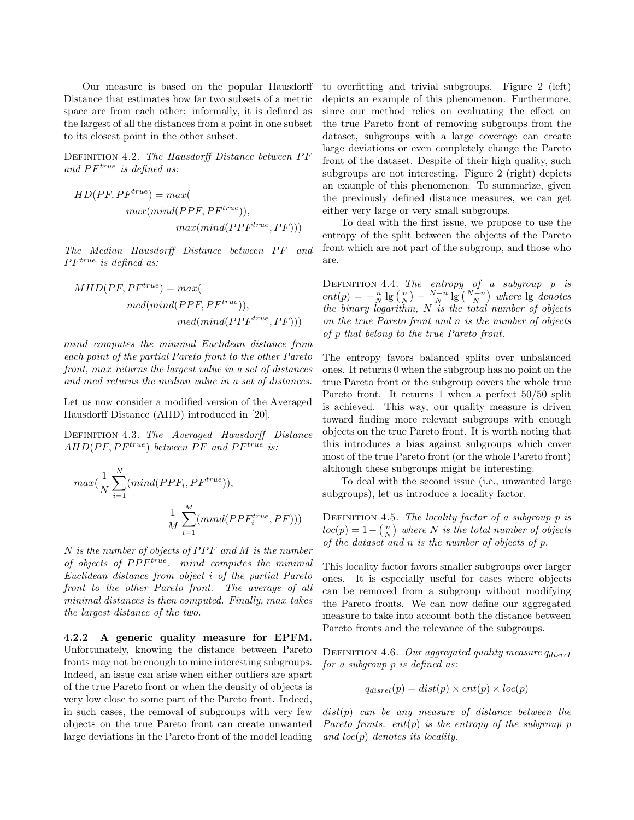Our measure is based on the popular Hausdorff Distance that estimates how far two subsets of a metric space are from each other: informally, it is defined as the largest of all the distances from a point in one subset to its closest point in the other subset.

DEFINITION 4.2. The Hausdorff Distance between PF and  $PF^{true}$  is defined as:

$$
HD(PF, PF^{true}) = max(\nmax(mind(PPF, PF^{true})),\nmax(mind(PPF^{true}, PF)))
$$

The Median Hausdorff Distance between PF and  $PF^{true}$  is defined as:

$$
MHD(PF, PF^{true}) = max(\n\nmed(mind(PPF, PF^{true})),\n\nmed(mind(PPF^{true}, PF)))
$$

mind computes the minimal Euclidean distance from each point of the partial Pareto front to the other Pareto front, max returns the largest value in a set of distances and med returns the median value in a set of distances.

Let us now consider a modified version of the Averaged Hausdorff Distance (AHD) introduced in [20].

Definition 4.3. The Averaged Hausdorff Distance  $AHD(PF, PF^{true})$  between  $PF$  and  $PF^{true}$  is:

$$
max(\frac{1}{N}\sum_{i=1}^{N}(mind(PPF_i, PF^{true})),
$$
  

$$
\frac{1}{M}\sum_{i=1}^{M}(mind(PPF_i^{true}, PF)))
$$

 $N$  is the number of objects of  $PPF$  and  $M$  is the number of objects of  $PPF^{true}$ . mind computes the minimal Euclidean distance from object i of the partial Pareto front to the other Pareto front. The average of all minimal distances is then computed. Finally, max takes the largest distance of the two.

4.2.2 A generic quality measure for EPFM. Unfortunately, knowing the distance between Pareto fronts may not be enough to mine interesting subgroups. Indeed, an issue can arise when either outliers are apart of the true Pareto front or when the density of objects is very low close to some part of the Pareto front. Indeed, in such cases, the removal of subgroups with very few objects on the true Pareto front can create unwanted large deviations in the Pareto front of the model leading to overfitting and trivial subgroups. Figure 2 (left) depicts an example of this phenomenon. Furthermore, since our method relies on evaluating the effect on the true Pareto front of removing subgroups from the dataset, subgroups with a large coverage can create large deviations or even completely change the Pareto front of the dataset. Despite of their high quality, such subgroups are not interesting. Figure 2 (right) depicts an example of this phenomenon. To summarize, given the previously defined distance measures, we can get either very large or very small subgroups.

To deal with the first issue, we propose to use the entropy of the split between the objects of the Pareto front which are not part of the subgroup, and those who are.

DEFINITION 4.4. The entropy of a subgroup  $p$  is  $ent(p) = -\frac{n}{N} \lg \left(\frac{n}{N}\right) - \frac{N-n}{N} \lg \left(\frac{N-n}{N}\right)$  where  $\lg$  denotes the binary logarithm,  $N$  is the total number of objects on the true Pareto front and n is the number of objects of p that belong to the true Pareto front.

The entropy favors balanced splits over unbalanced ones. It returns 0 when the subgroup has no point on the true Pareto front or the subgroup covers the whole true Pareto front. It returns 1 when a perfect 50/50 split is achieved. This way, our quality measure is driven toward finding more relevant subgroups with enough objects on the true Pareto front. It is worth noting that this introduces a bias against subgroups which cover most of the true Pareto front (or the whole Pareto front) although these subgroups might be interesting.

To deal with the second issue (i.e., unwanted large subgroups), let us introduce a locality factor.

DEFINITION 4.5. The locality factor of a subgroup  $p$  is  $loc(p) = 1 - (\frac{n}{N})$  where N is the total number of objects of the dataset and n is the number of objects of p.

This locality factor favors smaller subgroups over larger ones. It is especially useful for cases where objects can be removed from a subgroup without modifying the Pareto fronts. We can now define our aggregated measure to take into account both the distance between Pareto fronts and the relevance of the subgroups.

DEFINITION 4.6. Our aggregated quality measure  $q_{disrel}$ for a subgroup p is defined as:

$$
q_{disrel}(p) = dist(p) \times ent(p) \times loc(p)
$$

 $dist(p)$  can be any measure of distance between the Pareto fronts. ent(p) is the entropy of the subgroup p and  $loc(p)$  denotes its locality.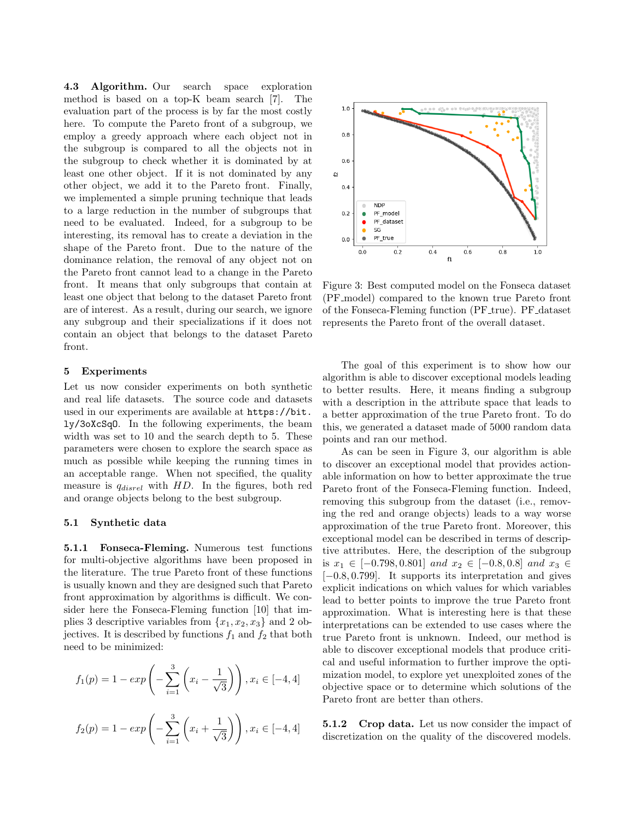4.3 Algorithm. Our search space exploration method is based on a top-K beam search [7]. The evaluation part of the process is by far the most costly here. To compute the Pareto front of a subgroup, we employ a greedy approach where each object not in the subgroup is compared to all the objects not in the subgroup to check whether it is dominated by at least one other object. If it is not dominated by any other object, we add it to the Pareto front. Finally, we implemented a simple pruning technique that leads to a large reduction in the number of subgroups that need to be evaluated. Indeed, for a subgroup to be interesting, its removal has to create a deviation in the shape of the Pareto front. Due to the nature of the dominance relation, the removal of any object not on the Pareto front cannot lead to a change in the Pareto front. It means that only subgroups that contain at least one object that belong to the dataset Pareto front are of interest. As a result, during our search, we ignore any subgroup and their specializations if it does not contain an object that belongs to the dataset Pareto front.

#### 5 Experiments

Let us now consider experiments on both synthetic and real life datasets. The source code and datasets used in our experiments are available at [https://bit.](https://bit.ly/3oXcSqO) [ly/3oXcSqO](https://bit.ly/3oXcSqO). In the following experiments, the beam width was set to 10 and the search depth to 5. These parameters were chosen to explore the search space as much as possible while keeping the running times in an acceptable range. When not specified, the quality measure is  $q_{disrel}$  with  $HD$ . In the figures, both red and orange objects belong to the best subgroup.

#### 5.1 Synthetic data

5.1.1 Fonseca-Fleming. Numerous test functions for multi-objective algorithms have been proposed in the literature. The true Pareto front of these functions is usually known and they are designed such that Pareto front approximation by algorithms is difficult. We consider here the Fonseca-Fleming function [10] that implies 3 descriptive variables from  $\{x_1, x_2, x_3\}$  and 2 objectives. It is described by functions  $f_1$  and  $f_2$  that both need to be minimized:

$$
f_1(p) = 1 - exp\left(-\sum_{i=1}^3 \left(x_i - \frac{1}{\sqrt{3}}\right)\right), x_i \in [-4, 4]
$$

$$
f_2(p) = 1 - exp\left(-\sum_{i=1}^3 \left(x_i + \frac{1}{\sqrt{3}}\right)\right), x_i \in [-4, 4]
$$



Figure 3: Best computed model on the Fonseca dataset (PF model) compared to the known true Pareto front of the Fonseca-Fleming function (PF true). PF dataset represents the Pareto front of the overall dataset.

The goal of this experiment is to show how our algorithm is able to discover exceptional models leading to better results. Here, it means finding a subgroup with a description in the attribute space that leads to a better approximation of the true Pareto front. To do this, we generated a dataset made of 5000 random data points and ran our method.

As can be seen in Figure 3, our algorithm is able to discover an exceptional model that provides actionable information on how to better approximate the true Pareto front of the Fonseca-Fleming function. Indeed, removing this subgroup from the dataset (i.e., removing the red and orange objects) leads to a way worse approximation of the true Pareto front. Moreover, this exceptional model can be described in terms of descriptive attributes. Here, the description of the subgroup is  $x_1 \in [-0.798, 0.801]$  and  $x_2 \in [-0.8, 0.8]$  and  $x_3 \in$ [−0.8, 0.799]. It supports its interpretation and gives explicit indications on which values for which variables lead to better points to improve the true Pareto front approximation. What is interesting here is that these interpretations can be extended to use cases where the true Pareto front is unknown. Indeed, our method is able to discover exceptional models that produce critical and useful information to further improve the optimization model, to explore yet unexploited zones of the objective space or to determine which solutions of the Pareto front are better than others.

5.1.2 Crop data. Let us now consider the impact of discretization on the quality of the discovered models.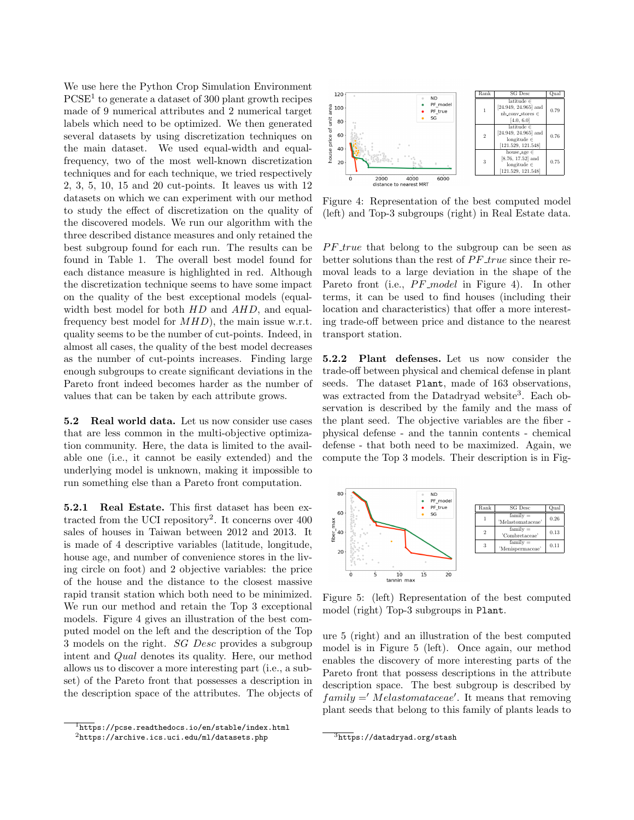We use here the Python Crop Simulation Environment  $PCSE<sup>1</sup>$  to generate a dataset of 300 plant growth recipes made of 9 numerical attributes and 2 numerical target labels which need to be optimized. We then generated several datasets by using discretization techniques on the main dataset. We used equal-width and equalfrequency, two of the most well-known discretization techniques and for each technique, we tried respectively 2, 3, 5, 10, 15 and 20 cut-points. It leaves us with 12 datasets on which we can experiment with our method to study the effect of discretization on the quality of the discovered models. We run our algorithm with the three described distance measures and only retained the best subgroup found for each run. The results can be found in Table 1. The overall best model found for each distance measure is highlighted in red. Although the discretization technique seems to have some impact on the quality of the best exceptional models (equalwidth best model for both  $HD$  and  $AHD$ , and equalfrequency best model for  $MHD$ , the main issue w.r.t. quality seems to be the number of cut-points. Indeed, in almost all cases, the quality of the best model decreases as the number of cut-points increases. Finding large enough subgroups to create significant deviations in the Pareto front indeed becomes harder as the number of values that can be taken by each attribute grows.

5.2 Real world data. Let us now consider use cases that are less common in the multi-objective optimization community. Here, the data is limited to the available one (i.e., it cannot be easily extended) and the underlying model is unknown, making it impossible to run something else than a Pareto front computation.

5.2.1 Real Estate. This first dataset has been extracted from the UCI repository<sup>2</sup>. It concerns over 400 sales of houses in Taiwan between 2012 and 2013. It is made of 4 descriptive variables (latitude, longitude, house age, and number of convenience stores in the living circle on foot) and 2 objective variables: the price of the house and the distance to the closest massive rapid transit station which both need to be minimized. We run our method and retain the Top 3 exceptional models. Figure 4 gives an illustration of the best computed model on the left and the description of the Top 3 models on the right. SG Desc provides a subgroup intent and Qual denotes its quality. Here, our method allows us to discover a more interesting part (i.e., a subset) of the Pareto front that possesses a description in the description space of the attributes. The objects of



Figure 4: Representation of the best computed model (left) and Top-3 subgroups (right) in Real Estate data.

 $PF\_true$  that belong to the subgroup can be seen as better solutions than the rest of  $PF\_true$  since their removal leads to a large deviation in the shape of the Pareto front (i.e.,  $PF$ <sub>-model</sub> in Figure 4). In other terms, it can be used to find houses (including their location and characteristics) that offer a more interesting trade-off between price and distance to the nearest transport station.

5.2.2 Plant defenses. Let us now consider the trade-off between physical and chemical defense in plant seeds. The dataset Plant, made of 163 observations, was extracted from the Datadryad website<sup>3</sup>. Each observation is described by the family and the mass of the plant seed. The objective variables are the fiber physical defense - and the tannin contents - chemical defense - that both need to be maximized. Again, we compute the Top 3 models. Their description is in Fig-



Figure 5: (left) Representation of the best computed model (right) Top-3 subgroups in Plant.

ure 5 (right) and an illustration of the best computed model is in Figure 5 (left). Once again, our method enables the discovery of more interesting parts of the Pareto front that possess descriptions in the attribute description space. The best subgroup is described by  $family =' Melastomataceae'.$  It means that removing plant seeds that belong to this family of plants leads to

 $\frac{1}{1}$ <https://pcse.readthedocs.io/en/stable/index.html>  $2$ <https://archive.ics.uci.edu/ml/datasets.php>

 $\frac{3}{3}$ <https://datadryad.org/stash>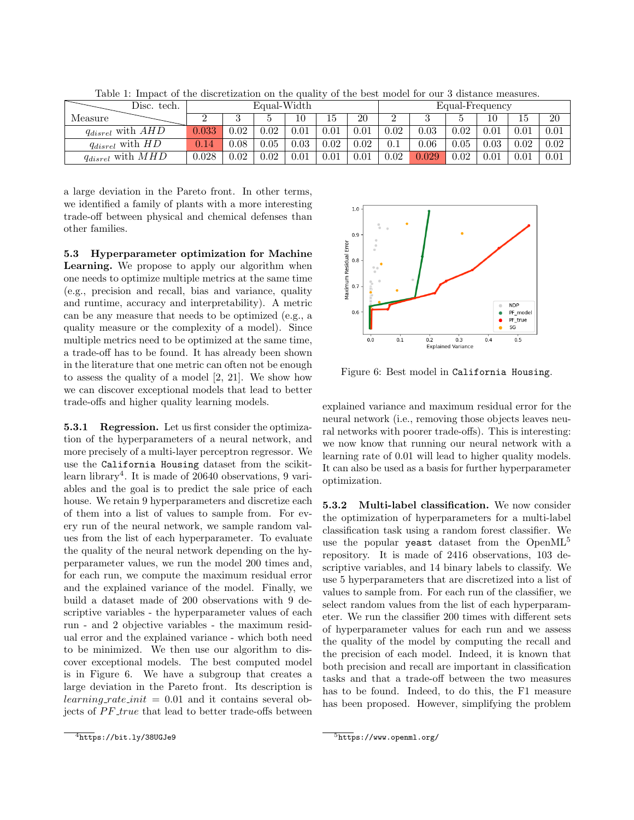| Disc. tech.                        | Equal-Width |          |      |          |      |      | Equal-Frequency |          |      |      |          |      |
|------------------------------------|-------------|----------|------|----------|------|------|-----------------|----------|------|------|----------|------|
| Measure                            |             |          |      | 10       | 15   | 20   |                 |          |      | 10   | 15       | 20   |
| $q_{disrel}$ with $AH\overline{D}$ | 0.033       | $0.02\,$ | 0.02 | $0.01\,$ | 0.01 | 0.01 | 0.02            | 0.03     | 0.02 | 0.01 | $0.01\,$ | 0.01 |
| $q_{disrel}$ with $H\overline{D}$  | 0.14        | $0.08\,$ | 0.05 | $0.03\,$ | 0.02 | 0.02 | 0.1             | $0.06\,$ | 0.05 | 0.03 | 0.02     | 0.02 |
| $q_{disrel}$ with $MH\overline{D}$ | $0.028\,$   | 0.02     | 0.02 | $0.01\,$ | 0.01 | 0.01 | 0.02            | 0.029    | 0.02 | 0.01 | $0.01\,$ | 0.01 |

Table 1: Impact of the discretization on the quality of the best model for our 3 distance measures.

a large deviation in the Pareto front. In other terms, we identified a family of plants with a more interesting trade-off between physical and chemical defenses than other families.

5.3 Hyperparameter optimization for Machine Learning. We propose to apply our algorithm when one needs to optimize multiple metrics at the same time (e.g., precision and recall, bias and variance, quality and runtime, accuracy and interpretability). A metric can be any measure that needs to be optimized (e.g., a quality measure or the complexity of a model). Since multiple metrics need to be optimized at the same time, a trade-off has to be found. It has already been shown in the literature that one metric can often not be enough to assess the quality of a model [2, 21]. We show how we can discover exceptional models that lead to better trade-offs and higher quality learning models.

5.3.1 Regression. Let us first consider the optimization of the hyperparameters of a neural network, and more precisely of a multi-layer perceptron regressor. We use the California Housing dataset from the scikitlearn library<sup>4</sup>. It is made of 20640 observations, 9 variables and the goal is to predict the sale price of each house. We retain 9 hyperparameters and discretize each of them into a list of values to sample from. For every run of the neural network, we sample random values from the list of each hyperparameter. To evaluate the quality of the neural network depending on the hyperparameter values, we run the model 200 times and, for each run, we compute the maximum residual error and the explained variance of the model. Finally, we build a dataset made of 200 observations with 9 descriptive variables - the hyperparameter values of each run - and 2 objective variables - the maximum residual error and the explained variance - which both need to be minimized. We then use our algorithm to discover exceptional models. The best computed model is in Figure 6. We have a subgroup that creates a large deviation in the Pareto front. Its description is  $learning_rate\_init = 0.01$  and it contains several objects of PF\_true that lead to better trade-offs between

Figure 6: Best model in California Housing.

explained variance and maximum residual error for the neural network (i.e., removing those objects leaves neural networks with poorer trade-offs). This is interesting: we now know that running our neural network with a learning rate of 0.01 will lead to higher quality models. It can also be used as a basis for further hyperparameter optimization.

5.3.2 Multi-label classification. We now consider the optimization of hyperparameters for a multi-label classification task using a random forest classifier. We use the popular yeast dataset from the OpenML<sup>5</sup> repository. It is made of 2416 observations, 103 descriptive variables, and 14 binary labels to classify. We use 5 hyperparameters that are discretized into a list of values to sample from. For each run of the classifier, we select random values from the list of each hyperparameter. We run the classifier 200 times with different sets of hyperparameter values for each run and we assess the quality of the model by computing the recall and the precision of each model. Indeed, it is known that both precision and recall are important in classification tasks and that a trade-off between the two measures has to be found. Indeed, to do this, the F1 measure has been proposed. However, simplifying the problem

 $1.0$  $0.9$ Residual Error  $0.8$ Maximum  $0.7$ **NDP**  $0.\overline{6}$  $\bullet$ PF\_model  $PF\_true$ ٠ SG  $0.0$  $0.1$ 0.2 0.3<br>Explained Variance  $0.4$  $0.5$ 

 $\frac{4}{1}$ <https://bit.ly/38UGJe9>

<sup>5</sup><https://www.openml.org/>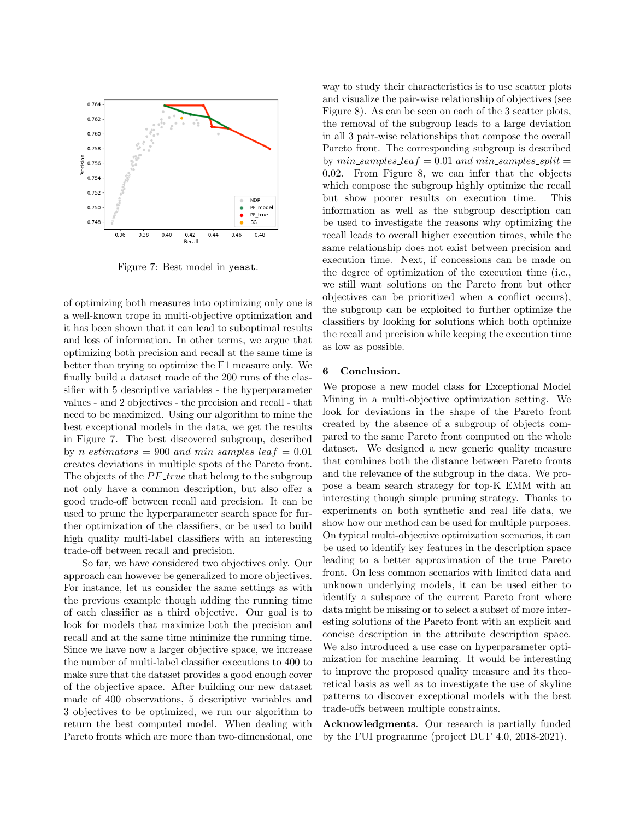

Figure 7: Best model in yeast.

of optimizing both measures into optimizing only one is a well-known trope in multi-objective optimization and it has been shown that it can lead to suboptimal results and loss of information. In other terms, we argue that optimizing both precision and recall at the same time is better than trying to optimize the F1 measure only. We finally build a dataset made of the 200 runs of the classifier with 5 descriptive variables - the hyperparameter values - and 2 objectives - the precision and recall - that need to be maximized. Using our algorithm to mine the best exceptional models in the data, we get the results in Figure 7. The best discovered subgroup, described by n\_estimators = 900 and min\_samples\_lea  $f = 0.01$ creates deviations in multiple spots of the Pareto front. The objects of the  $PF\_true$  that belong to the subgroup not only have a common description, but also offer a good trade-off between recall and precision. It can be used to prune the hyperparameter search space for further optimization of the classifiers, or be used to build high quality multi-label classifiers with an interesting trade-off between recall and precision.

So far, we have considered two objectives only. Our approach can however be generalized to more objectives. For instance, let us consider the same settings as with the previous example though adding the running time of each classifier as a third objective. Our goal is to look for models that maximize both the precision and recall and at the same time minimize the running time. Since we have now a larger objective space, we increase the number of multi-label classifier executions to 400 to make sure that the dataset provides a good enough cover of the objective space. After building our new dataset made of 400 observations, 5 descriptive variables and 3 objectives to be optimized, we run our algorithm to return the best computed model. When dealing with Pareto fronts which are more than two-dimensional, one

way to study their characteristics is to use scatter plots and visualize the pair-wise relationship of objectives (see Figure 8). As can be seen on each of the 3 scatter plots, the removal of the subgroup leads to a large deviation in all 3 pair-wise relationships that compose the overall Pareto front. The corresponding subgroup is described by  $min\_samples\_leaf = 0.01$  and  $min\_samples\_split =$ 0.02. From Figure 8, we can infer that the objects which compose the subgroup highly optimize the recall but show poorer results on execution time. This information as well as the subgroup description can be used to investigate the reasons why optimizing the recall leads to overall higher execution times, while the same relationship does not exist between precision and execution time. Next, if concessions can be made on the degree of optimization of the execution time (i.e., we still want solutions on the Pareto front but other objectives can be prioritized when a conflict occurs), the subgroup can be exploited to further optimize the classifiers by looking for solutions which both optimize the recall and precision while keeping the execution time as low as possible.

#### 6 Conclusion.

We propose a new model class for Exceptional Model Mining in a multi-objective optimization setting. We look for deviations in the shape of the Pareto front created by the absence of a subgroup of objects compared to the same Pareto front computed on the whole dataset. We designed a new generic quality measure that combines both the distance between Pareto fronts and the relevance of the subgroup in the data. We propose a beam search strategy for top-K EMM with an interesting though simple pruning strategy. Thanks to experiments on both synthetic and real life data, we show how our method can be used for multiple purposes. On typical multi-objective optimization scenarios, it can be used to identify key features in the description space leading to a better approximation of the true Pareto front. On less common scenarios with limited data and unknown underlying models, it can be used either to identify a subspace of the current Pareto front where data might be missing or to select a subset of more interesting solutions of the Pareto front with an explicit and concise description in the attribute description space. We also introduced a use case on hyperparameter optimization for machine learning. It would be interesting to improve the proposed quality measure and its theoretical basis as well as to investigate the use of skyline patterns to discover exceptional models with the best trade-offs between multiple constraints.

Acknowledgments. Our research is partially funded by the FUI programme (project DUF 4.0, 2018-2021).